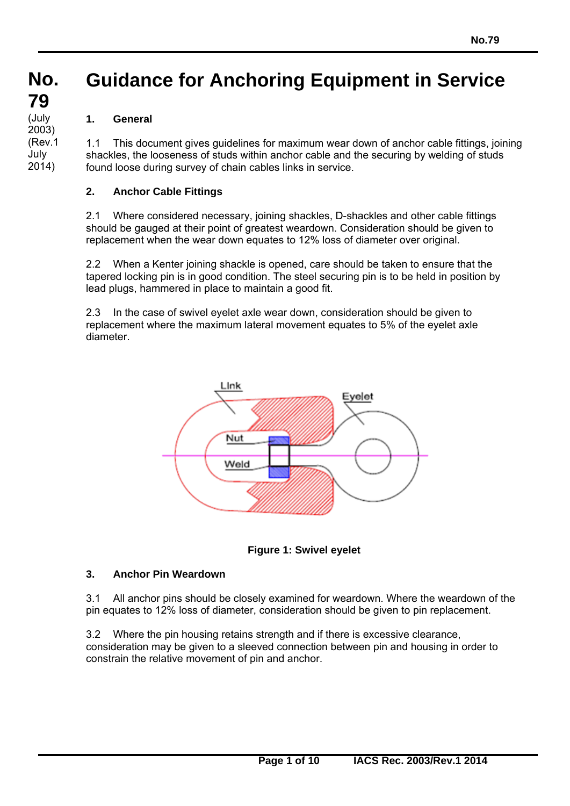#### **No. No. Guidance for Anchoring Equipment in Service**

# **1. General**

**79 79**  (July<br>0000)

2003) (Rev.1 July 2014)

1.1 This document gives guidelines for maximum wear down of anchor cable fittings, joining shackles, the looseness of studs within anchor cable and the securing by welding of studs found loose during survey of chain cables links in service.

# **2. Anchor Cable Fittings**

2.1 Where considered necessary, joining shackles, D-shackles and other cable fittings should be gauged at their point of greatest weardown. Consideration should be given to replacement when the wear down equates to 12% loss of diameter over original.

2.2 When a Kenter joining shackle is opened, care should be taken to ensure that the tapered locking pin is in good condition. The steel securing pin is to be held in position by lead plugs, hammered in place to maintain a good fit.

2.3 In the case of swivel eyelet axle wear down, consideration should be given to replacement where the maximum lateral movement equates to 5% of the eyelet axle diameter.



**Figure 1: Swivel eyelet** 

## **3. Anchor Pin Weardown**

 $\overline{a}$ 

3.1 All anchor pins should be closely examined for weardown. Where the weardown of the pin equates to 12% loss of diameter, consideration should be given to pin replacement.

3.2 Where the pin housing retains strength and if there is excessive clearance, consideration may be given to a sleeved connection between pin and housing in order to constrain the relative movement of pin and anchor.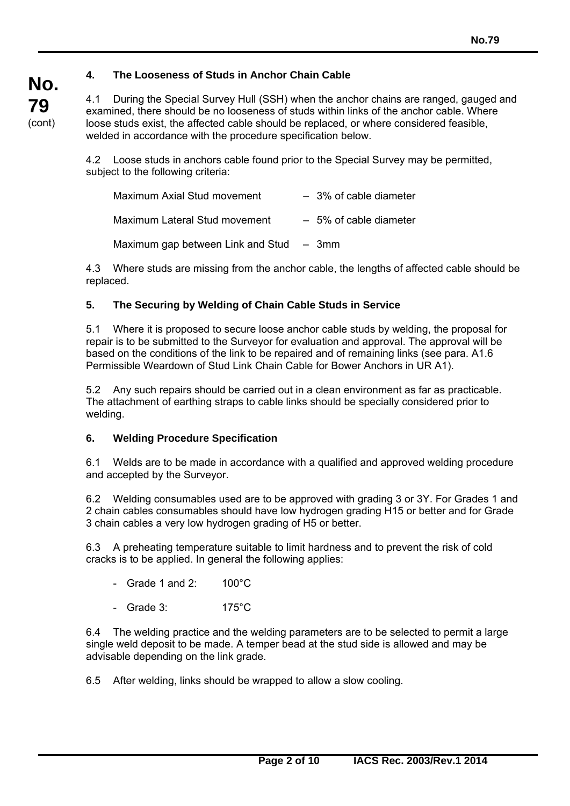# **4. The Looseness of Studs in Anchor Chain Cable**

4.1 During the Special Survey Hull (SSH) when the anchor chains are ranged, gauged and examined, there should be no looseness of studs within links of the anchor cable. Where loose studs exist, the affected cable should be replaced, or where considered feasible, welded in accordance with the procedure specification below.

4.2 Loose studs in anchors cable found prior to the Special Survey may be permitted, subject to the following criteria:

| Maximum Axial Stud movement               | $-3\%$ of cable diameter |
|-------------------------------------------|--------------------------|
| Maximum Lateral Stud movement             | $-5\%$ of cable diameter |
| Maximum gap between Link and Stud $-3$ mm |                          |

4.3 Where studs are missing from the anchor cable, the lengths of affected cable should be replaced.

## **5. The Securing by Welding of Chain Cable Studs in Service**

5.1 Where it is proposed to secure loose anchor cable studs by welding, the proposal for repair is to be submitted to the Surveyor for evaluation and approval. The approval will be based on the conditions of the link to be repaired and of remaining links (see para. A1.6 Permissible Weardown of Stud Link Chain Cable for Bower Anchors in UR A1).

5.2 Any such repairs should be carried out in a clean environment as far as practicable. The attachment of earthing straps to cable links should be specially considered prior to welding.

#### **6. Welding Procedure Specification**

6.1 Welds are to be made in accordance with a qualified and approved welding procedure and accepted by the Surveyor.

6.2 Welding consumables used are to be approved with grading 3 or 3Y. For Grades 1 and 2 chain cables consumables should have low hydrogen grading H15 or better and for Grade 3 chain cables a very low hydrogen grading of H5 or better.

6.3 A preheating temperature suitable to limit hardness and to prevent the risk of cold cracks is to be applied. In general the following applies:

- Grade 1 and  $2: 100^{\circ}$ C
- Grade 3: 175°C

 $\overline{a}$ 

6.4 The welding practice and the welding parameters are to be selected to permit a large single weld deposit to be made. A temper bead at the stud side is allowed and may be advisable depending on the link grade.

6.5 After welding, links should be wrapped to allow a slow cooling.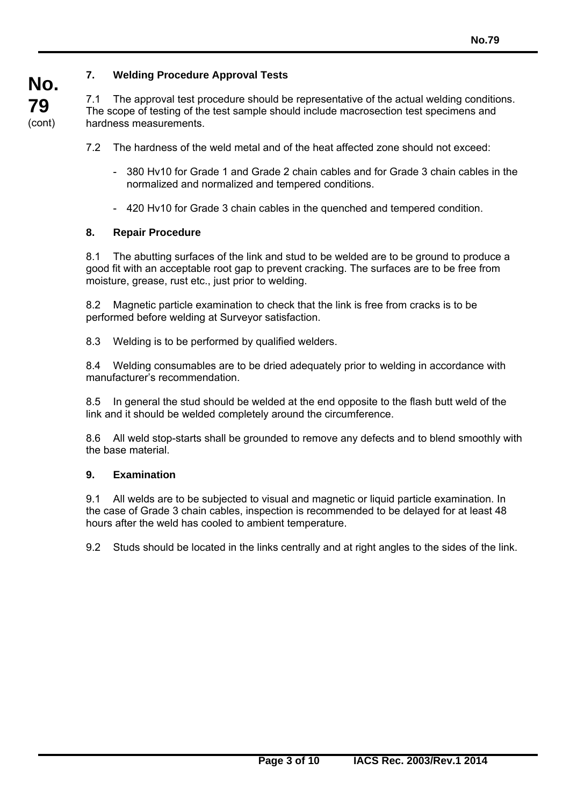# **7. Welding Procedure Approval Tests**

7.1 The approval test procedure should be representative of the actual welding conditions. The scope of testing of the test sample should include macrosection test specimens and hardness measurements.

7.2 The hardness of the weld metal and of the heat affected zone should not exceed:

- 380 Hv10 for Grade 1 and Grade 2 chain cables and for Grade 3 chain cables in the normalized and normalized and tempered conditions.
- 420 Hv10 for Grade 3 chain cables in the quenched and tempered condition.

#### **8. Repair Procedure**

**No.** 

**79**  (cont)

> 8.1 The abutting surfaces of the link and stud to be welded are to be ground to produce a good fit with an acceptable root gap to prevent cracking. The surfaces are to be free from moisture, grease, rust etc., just prior to welding.

8.2 Magnetic particle examination to check that the link is free from cracks is to be performed before welding at Surveyor satisfaction.

8.3 Welding is to be performed by qualified welders.

8.4 Welding consumables are to be dried adequately prior to welding in accordance with manufacturer's recommendation.

8.5 In general the stud should be welded at the end opposite to the flash butt weld of the link and it should be welded completely around the circumference.

8.6 All weld stop-starts shall be grounded to remove any defects and to blend smoothly with the base material.

#### **9. Examination**

 $\overline{a}$ 

9.1 All welds are to be subjected to visual and magnetic or liquid particle examination. In the case of Grade 3 chain cables, inspection is recommended to be delayed for at least 48 hours after the weld has cooled to ambient temperature.

9.2 Studs should be located in the links centrally and at right angles to the sides of the link.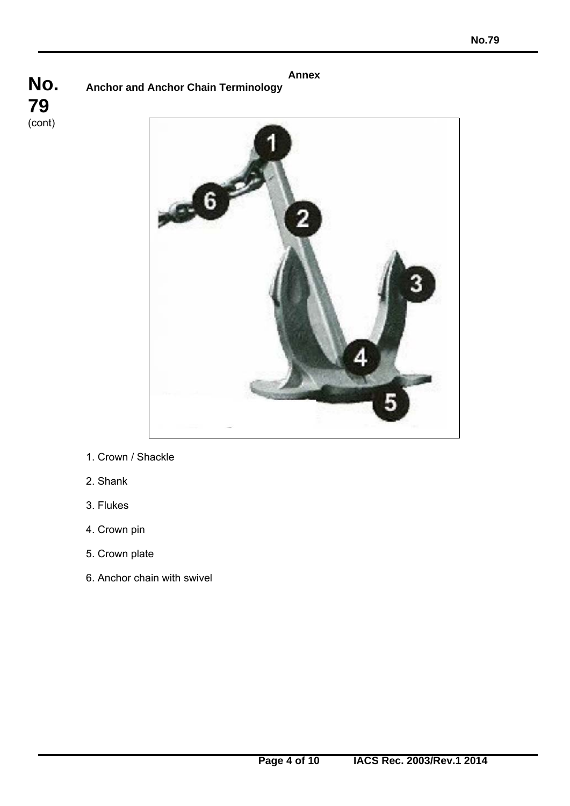**Annex Anchor and Anchor Chain Terminology**





- 1. Crown / Shackle
- 2. Shank
- 3. Flukes

- 4. Crown pin
- 5. Crown plate
- 6. Anchor chain with swivel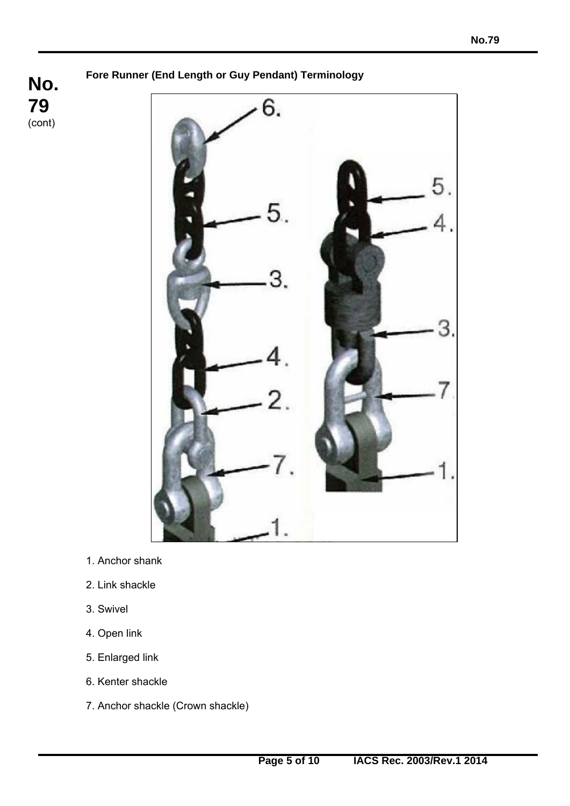**Fore Runner (End Length or Guy Pendant) Terminology** 

**No. 79**  (cont)



- 1. Anchor shank
- 2. Link shackle
- 3. Swivel

- 4. Open link
- 5. Enlarged link
- 6. Kenter shackle
- 7. Anchor shackle (Crown shackle)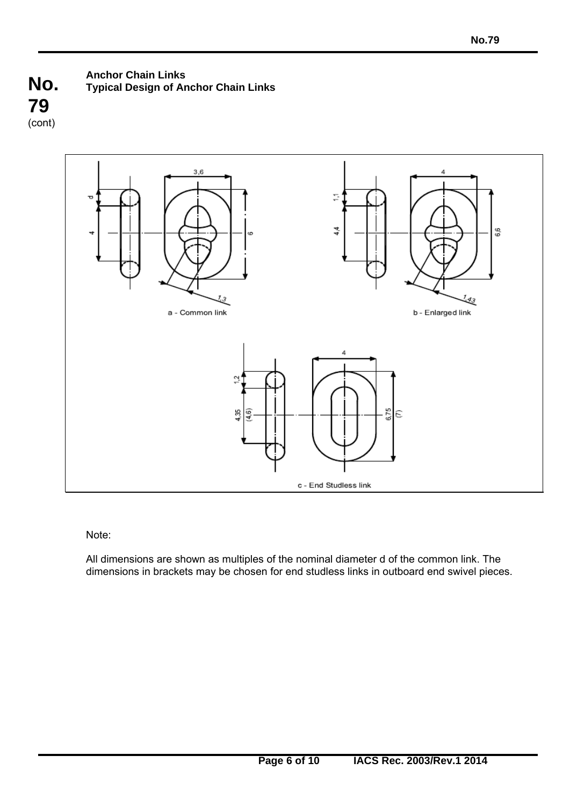**No. 79**  (cont)

# **Anchor Chain Links Typical Design of Anchor Chain Links**



Note:

 $\overline{a}$ 

All dimensions are shown as multiples of the nominal diameter d of the common link. The dimensions in brackets may be chosen for end studless links in outboard end swivel pieces.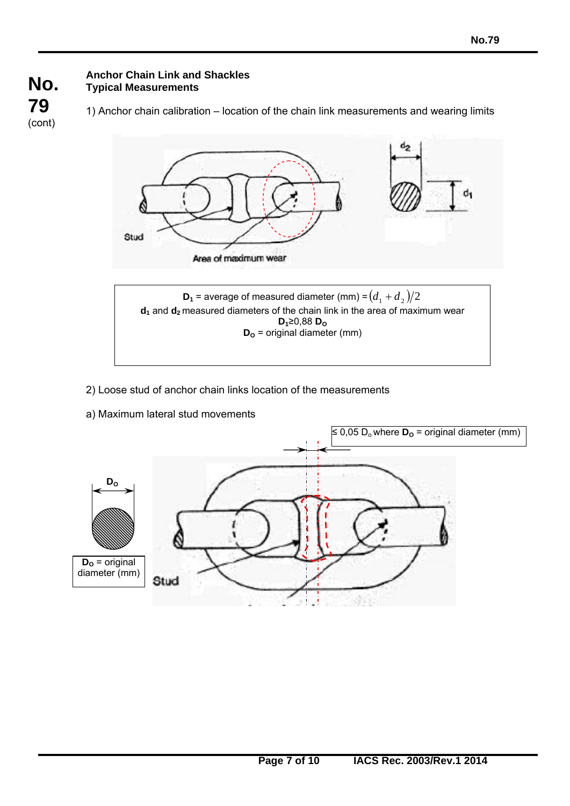#### **No. 79 Anchor Chain Link and Shackles Typical Measurements**

(cont)

1) Anchor chain calibration – location of the chain link measurements and wearing limits



- 2) Loose stud of anchor chain links location of the measurements
- a) Maximum lateral stud movements

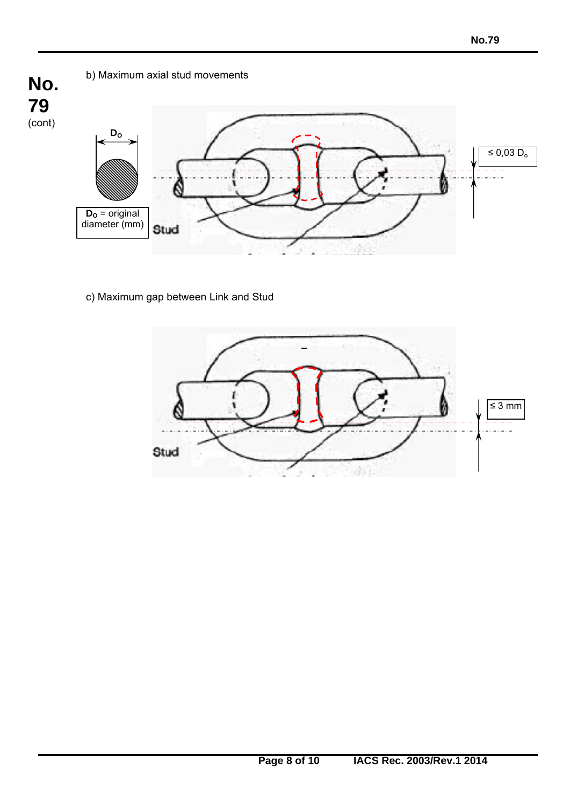

c) Maximum gap between Link and Stud

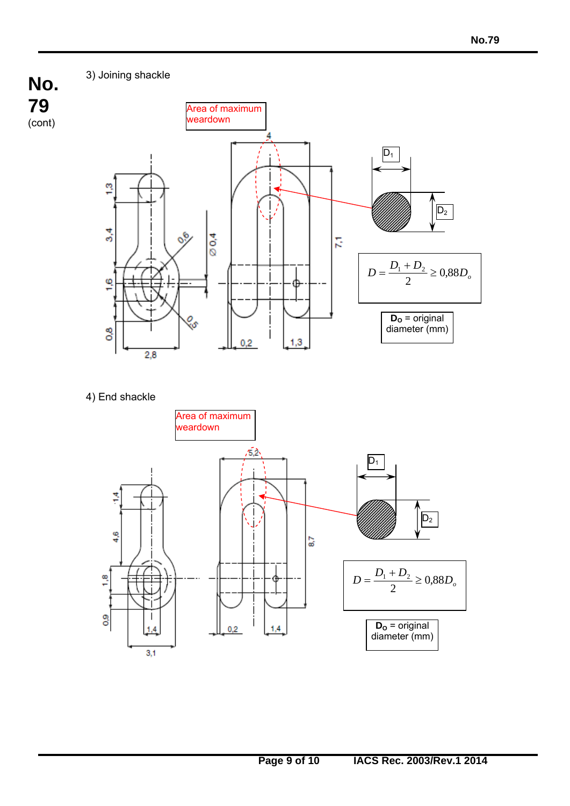3) Joining shackle

**No.** 

**79**  (cont)



4) End shackle